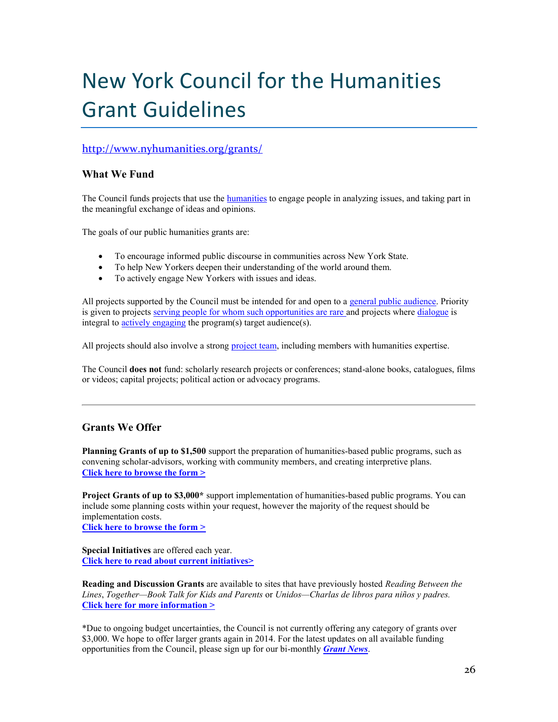# New York Council for the Humanities Grant Guidelines

# <http://www.nyhumanities.org/grants/>

# **What We Fund**

The Council funds projects that use the [humanities](http://www.nyhumanities.org/grants/index.php#humanities) to engage people in analyzing issues, and taking part in the meaningful exchange of ideas and opinions.

The goals of our public humanities grants are:

- To encourage informed public discourse in communities across New York State.
- To help New Yorkers deepen their understanding of the world around them.
- To actively engage New Yorkers with issues and ideas.

All projects supported by the Council must be intended for and open to a [general public audience.](http://www.nyhumanities.org/grants/index.php#audience) Priority is given to projects [serving people for whom such opportunities are rare a](http://www.nyhumanities.org/grants/index.php#rare)nd projects where [dialogue](http://www.nyhumanities.org/grants/index.php#Dialogue) is integral to [actively engaging](http://www.nyhumanities.org/grants/index.php#Active) the program(s) target audience(s).

All projects should also involve a strong [project team,](http://www.nyhumanities.org/grants/index.php#PT) including members with humanities expertise.

The Council **does not** fund: scholarly research projects or conferences; stand-alone books, catalogues, films or videos; capital projects; political action or advocacy programs.

# **Grants We Offer**

**Planning Grants of up to \$1,500** support the preparation of humanities-based public programs, such as convening scholar-advisors, working with community members, and creating interpretive plans. **[Click here to browse the form >](http://www.nyhumanities.org/grants/mini/miniplan.php?page=1)** 

**Project Grants of up to \$3,000\*** support implementation of humanities-based public programs. You can include some planning costs within your request, however the majority of the request should be implementation costs[.](http://www.nyhumanities.org/grants/mini/miniapp.php?page=1)

**[Click here to browse the form >](http://www.nyhumanities.org/grants/mini/miniapp.php?page=1)**

**Special Initiatives** are offered each year. **[Click here to read about current initiatives>](http://www.nyhumanities.org/grants/special.php)**

**Reading and Discussion Grants** are available to sites that have previously hosted *Reading Between the Lines*, *Together—Book Talk for Kids and Parents* or *Unidos—Charlas de libros para niños y padres.* **[Click here for more information >](http://www.nyhumanities.org/grants/intro.php#RD)**

\*Due to ongoing budget uncertainties, the Council is not currently offering any category of grants over \$3,000. We hope to offer larger grants again in 2014. For the latest updates on all available funding opportunities from the Council, please sign up for our bi-monthly *[Grant News](http://www.nyhumanities.org/grants/enews.php)*.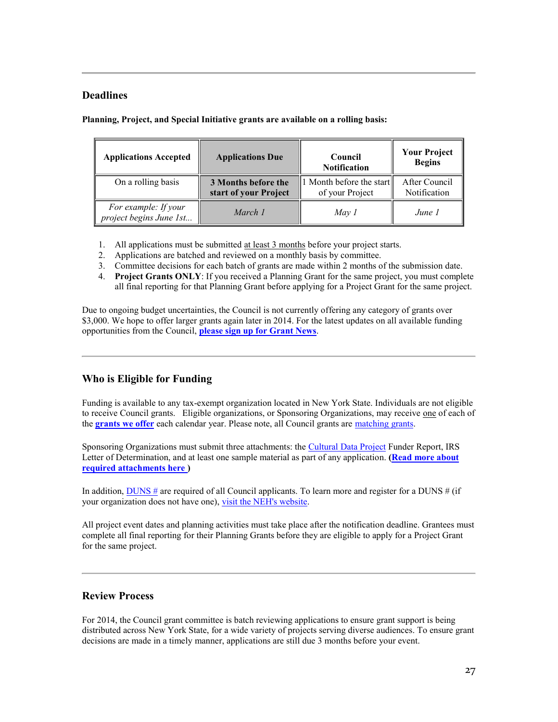# **Deadlines**

| <b>Applications Accepted</b>                    | <b>Applications Due</b>                      | Council<br><b>Notification</b>              | <b>Your Project</b><br><b>Begins</b> |
|-------------------------------------------------|----------------------------------------------|---------------------------------------------|--------------------------------------|
| On a rolling basis                              | 3 Months before the<br>start of your Project | 1 Month before the start<br>of your Project | After Council<br>Notification        |
| For example: If your<br>project begins June 1st | March 1                                      | May 1                                       | June 1                               |

**Planning, Project, and Special Initiative grants are available on a rolling basis:**

- 1. All applications must be submitted at least 3 months before your project starts.
- 2. Applications are batched and reviewed on a monthly basis by committee.
- 3. Committee decisions for each batch of grants are made within 2 months of the submission date.
- 4. **Project Grants ONLY**: If you received a Planning Grant for the same project, you must complete all final reporting for that Planning Grant before applying for a Project Grant for the same project.

Due to ongoing budget uncertainties, the Council is not currently offering any category of grants over \$3,000. We hope to offer larger grants again later in 2014. For the latest updates on all available funding opportunities from the Council, **[please sign up for Grant News](http://www.nyhumanities.org/grants/enews.php)**.

# **Who is Eligible for Funding**

Funding is available to any tax-exempt organization located in New York State. Individuals are not eligible to receive Council grants. Eligible organizations, or Sponsoring Organizations, may receive one of each of the **[grants we offer](http://www.nyhumanities.org/grants/index.php#GrantsOffer)** each calendar year. Please note, all Council grants are [matching grants.](http://www.nyhumanities.org/grants/index.php#Matching)

Sponsoring Organizations must submit three attachments: the [Cultural Data Project](http://www.nyhumanities.org/grants/index.php#CDP) Funder Report, IRS Letter of Determination, and at least one sample material as part of any application. **[\(Read more about](http://www.nyhumanities.org/grants/projects/apply.php#Prepare)  [required attachments here \)](http://www.nyhumanities.org/grants/projects/apply.php#Prepare)**

In addition, DUNS  $#$  are required of all Council applicants. To learn more and register for a DUNS  $#$  (if your organization does not have one), [visit the NEH's website.](http://www.neh.gov/grants/manage/duns-number-requirement)

All project event dates and planning activities must take place after the notification deadline. Grantees must complete all final reporting for their Planning Grants before they are eligible to apply for a Project Grant for the same project.

## **Review Process**

For 2014, the Council grant committee is batch reviewing applications to ensure grant support is being distributed across New York State, for a wide variety of projects serving diverse audiences. To ensure grant decisions are made in a timely manner, applications are still due 3 months before your event.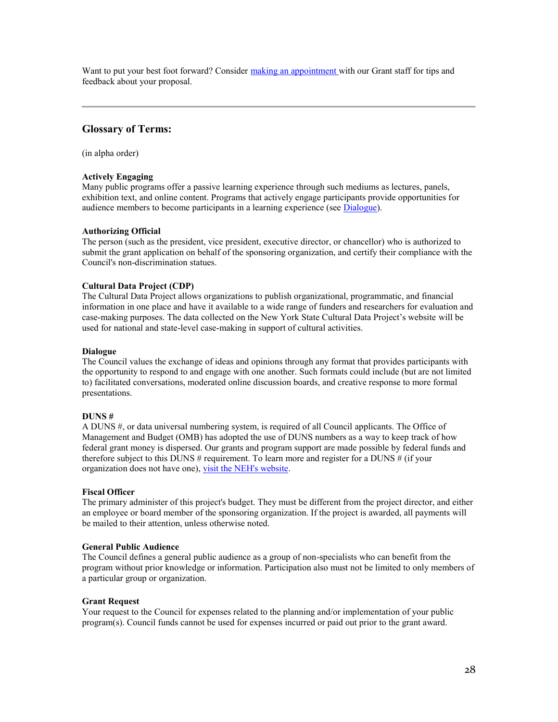Want to put your best foot forward? Consider [making an appointment w](http://www.nyhumanities.org/grants/contact.php)ith our Grant staff for tips and feedback about your proposal.

## **Glossary of Terms:**

(in alpha order)

### **Actively Engaging**

Many public programs offer a passive learning experience through such mediums as lectures, panels, exhibition text, and online content. Programs that actively engage participants provide opportunities for audience members to become participants in a learning experience (see [Dialogue\)](http://www.nyhumanities.org/grants/index.php#Dialogue).

### **Authorizing Official**

The person (such as the president, vice president, executive director, or chancellor) who is authorized to submit the grant application on behalf of the sponsoring organization, and certify their compliance with the Council's non-discrimination statues.

## **Cultural Data Project (CDP)**

The Cultural Data Project allows organizations to publish organizational, programmatic, and financial information in one place and have it available to a wide range of funders and researchers for evaluation and case-making purposes. The data collected on the New York State Cultural Data Project's website will be used for national and state-level case-making in support of cultural activities.

#### **Dialogue**

The Council values the exchange of ideas and opinions through any format that provides participants with the opportunity to respond to and engage with one another. Such formats could include (but are not limited to) facilitated conversations, moderated online discussion boards, and creative response to more formal presentations.

## **DUNS #**

A DUNS #, or data universal numbering system, is required of all Council applicants. The Office of Management and Budget (OMB) has adopted the use of DUNS numbers as a way to keep track of how federal grant money is dispersed. Our grants and program support are made possible by federal funds and therefore subject to this DUNS  $#$  requirement. To learn more and register for a DUNS  $#$  (if your organization does not have one)[, visit the NEH's website.](http://www.neh.gov/grants/manage/duns-number-requirement)

#### **Fiscal Officer**

The primary administer of this project's budget. They must be different from the project director, and either an employee or board member of the sponsoring organization. If the project is awarded, all payments will be mailed to their attention, unless otherwise noted.

#### **General Public Audience**

The Council defines a general public audience as a group of non-specialists who can benefit from the program without prior knowledge or information. Participation also must not be limited to only members of a particular group or organization.

#### **Grant Request**

Your request to the Council for expenses related to the planning and/or implementation of your public program(s). Council funds cannot be used for expenses incurred or paid out prior to the grant award.